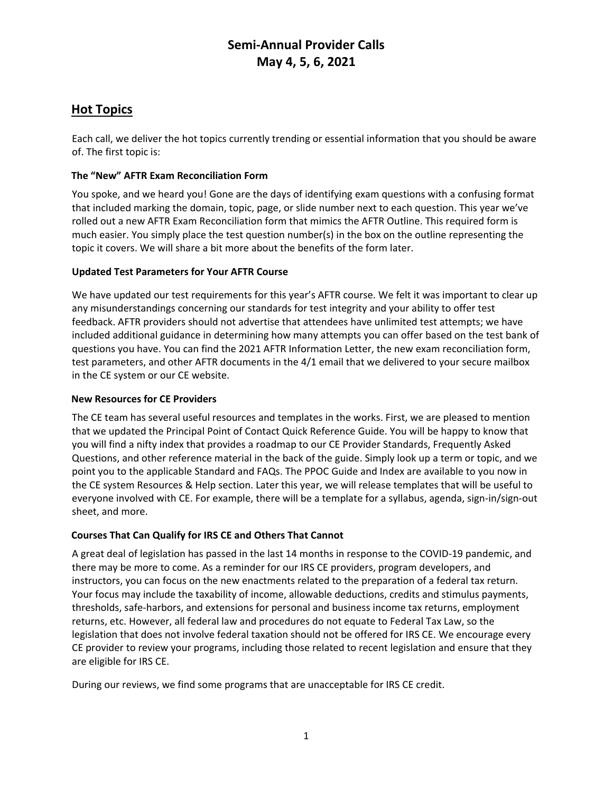# **Semi-Annual Provider Calls May 4, 5, 6, 2021**

### **Hot Topics**

Each call, we deliver the hot topics currently trending or essential information that you should be aware of. The first topic is:

### **The "New" AFTR Exam Reconciliation Form**

You spoke, and we heard you! Gone are the days of identifying exam questions with a confusing format that included marking the domain, topic, page, or slide number next to each question. This year we've rolled out a new AFTR Exam Reconciliation form that mimics the AFTR Outline. This required form is much easier. You simply place the test question number(s) in the box on the outline representing the topic it covers. We will share a bit more about the benefits of the form later.

### **Updated Test Parameters for Your AFTR Course**

We have updated our test requirements for this year's AFTR course. We felt it was important to clear up any misunderstandings concerning our standards for test integrity and your ability to offer test feedback. AFTR providers should not advertise that attendees have unlimited test attempts; we have included additional guidance in determining how many attempts you can offer based on the test bank of questions you have. You can find the 2021 AFTR Information Letter, the new exam reconciliation form, test parameters, and other AFTR documents in the 4/1 email that we delivered to your secure mailbox in the CE system or our CE website.

#### **New Resources for CE Providers**

The CE team has several useful resources and templates in the works. First, we are pleased to mention that we updated the Principal Point of Contact Quick Reference Guide. You will be happy to know that you will find a nifty index that provides a roadmap to our CE Provider Standards, Frequently Asked Questions, and other reference material in the back of the guide. Simply look up a term or topic, and we point you to the applicable Standard and FAQs. The PPOC Guide and Index are available to you now in the CE system Resources & Help section. Later this year, we will release templates that will be useful to everyone involved with CE. For example, there will be a template for a syllabus, agenda, sign-in/sign-out sheet, and more.

#### **Courses That Can Qualify for IRS CE and Others That Cannot**

A great deal of legislation has passed in the last 14 months in response to the COVID-19 pandemic, and there may be more to come. As a reminder for our IRS CE providers, program developers, and instructors, you can focus on the new enactments related to the preparation of a federal tax return. Your focus may include the taxability of income, allowable deductions, credits and stimulus payments, thresholds, safe-harbors, and extensions for personal and business income tax returns, employment returns, etc. However, all federal law and procedures do not equate to Federal Tax Law, so the legislation that does not involve federal taxation should not be offered for IRS CE. We encourage every CE provider to review your programs, including those related to recent legislation and ensure that they are eligible for IRS CE.

During our reviews, we find some programs that are unacceptable for IRS CE credit.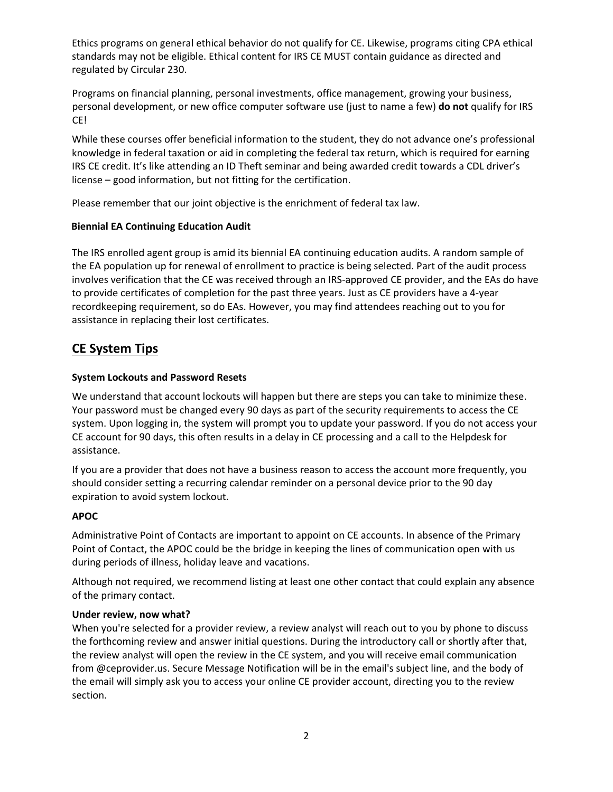Ethics programs on general ethical behavior do not qualify for CE. Likewise, programs citing CPA ethical standards may not be eligible. Ethical content for IRS CE MUST contain guidance as directed and regulated by Circular 230.

Programs on financial planning, personal investments, office management, growing your business, personal development, or new office computer software use (just to name a few) **do not** qualify for IRS CE!

While these courses offer beneficial information to the student, they do not advance one's professional knowledge in federal taxation or aid in completing the federal tax return, which is required for earning IRS CE credit. It's like attending an ID Theft seminar and being awarded credit towards a CDL driver's license – good information, but not fitting for the certification.

Please remember that our joint objective is the enrichment of federal tax law.

### **Biennial EA Continuing Education Audit**

The IRS enrolled agent group is amid its biennial EA continuing education audits. A random sample of the EA population up for renewal of enrollment to practice is being selected. Part of the audit process involves verification that the CE was received through an IRS-approved CE provider, and the EAs do have to provide certificates of completion for the past three years. Just as CE providers have a 4-year recordkeeping requirement, so do EAs. However, you may find attendees reaching out to you for assistance in replacing their lost certificates.

### **CE System Tips**

### **System Lockouts and Password Resets**

We understand that account lockouts will happen but there are steps you can take to minimize these. Your password must be changed every 90 days as part of the security requirements to access the CE system. Upon logging in, the system will prompt you to update your password. If you do not access your CE account for 90 days, this often results in a delay in CE processing and a call to the Helpdesk for assistance.

If you are a provider that does not have a business reason to access the account more frequently, you should consider setting a recurring calendar reminder on a personal device prior to the 90 day expiration to avoid system lockout.

### **APOC**

Administrative Point of Contacts are important to appoint on CE accounts. In absence of the Primary Point of Contact, the APOC could be the bridge in keeping the lines of communication open with us during periods of illness, holiday leave and vacations.

Although not required, we recommend listing at least one other contact that could explain any absence of the primary contact.

#### **Under review, now what?**

When you're selected for a provider review, a review analyst will reach out to you by phone to discuss the forthcoming review and answer initial questions. During the introductory call or shortly after that, the review analyst will open the review in the CE system, and you will receive email communication from @ceprovider.us. Secure Message Notification will be in the email's subject line, and the body of the email will simply ask you to access your online CE provider account, directing you to the review section.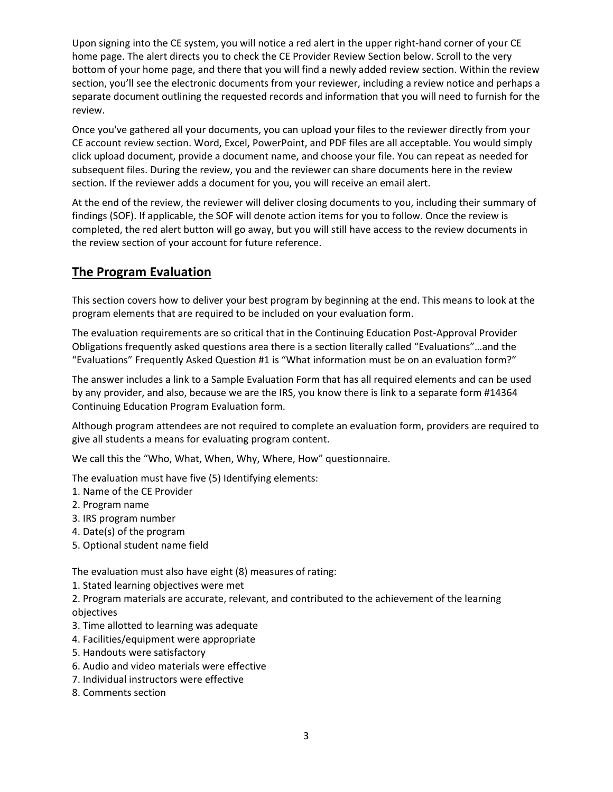Upon signing into the CE system, you will notice a red alert in the upper right-hand corner of your CE home page. The alert directs you to check the CE Provider Review Section below. Scroll to the very bottom of your home page, and there that you will find a newly added review section. Within the review section, you'll see the electronic documents from your reviewer, including a review notice and perhaps a separate document outlining the requested records and information that you will need to furnish for the review.

Once you've gathered all your documents, you can upload your files to the reviewer directly from your CE account review section. Word, Excel, PowerPoint, and PDF files are all acceptable. You would simply click upload document, provide a document name, and choose your file. You can repeat as needed for subsequent files. During the review, you and the reviewer can share documents here in the review section. If the reviewer adds a document for you, you will receive an email alert.

At the end of the review, the reviewer will deliver closing documents to you, including their summary of findings (SOF). If applicable, the SOF will denote action items for you to follow. Once the review is completed, the red alert button will go away, but you will still have access to the review documents in the review section of your account for future reference.

## **The Program Evaluation**

This section covers how to deliver your best program by beginning at the end. This means to look at the program elements that are required to be included on your evaluation form.

The evaluation requirements are so critical that in the Continuing Education Post-Approval Provider Obligations frequently asked questions area there is a section literally called "Evaluations"…and the "Evaluations" Frequently Asked Question #1 is "What information must be on an evaluation form?"

The answer includes a link to a Sample Evaluation Form that has all required elements and can be used by any provider, and also, because we are the IRS, you know there is link to a separate form #14364 Continuing Education Program Evaluation form.

Although program attendees are not required to complete an evaluation form, providers are required to give all students a means for evaluating program content.

We call this the "Who, What, When, Why, Where, How" questionnaire.

The evaluation must have five (5) Identifying elements:

- 1. Name of the CE Provider
- 2. Program name
- 3. IRS program number
- 4. Date(s) of the program
- 5. Optional student name field

The evaluation must also have eight (8) measures of rating:

- 1. Stated learning objectives were met
- 2. Program materials are accurate, relevant, and contributed to the achievement of the learning objectives
- 3. Time allotted to learning was adequate
- 4. Facilities/equipment were appropriate
- 5. Handouts were satisfactory
- 6. Audio and video materials were effective
- 7. Individual instructors were effective
- 8. Comments section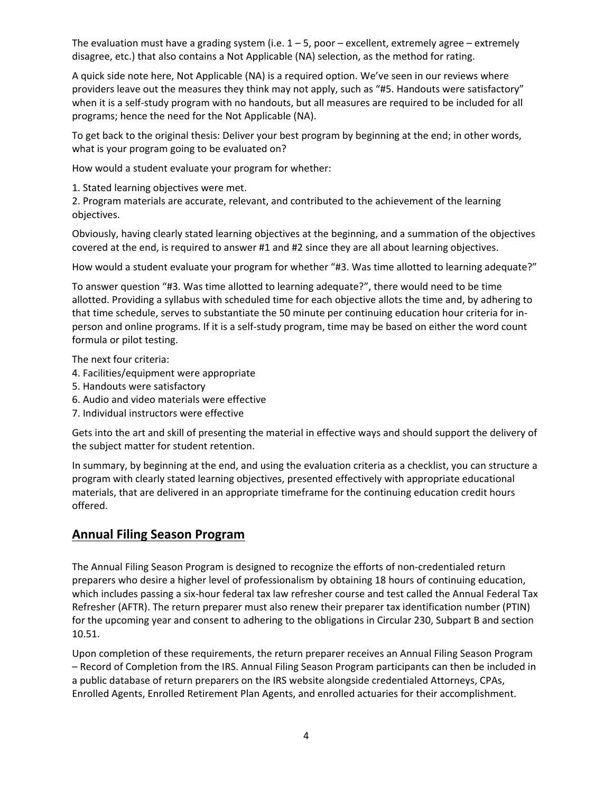The evaluation must have a grading system (i.e.  $1 - 5$ , poor – excellent, extremely agree – extremely disagree, etc.) that also contains a Not Applicable (NA) selection, as the method for rating.

A quick side note here, Not Applicable (NA) is a required option. We've seen in our reviews where providers leave out the measures they think may not apply, such as "#5. Handouts were satisfactory" when it is a self-study program with no handouts, but all measures are required to be included for all programs; hence the need for the Not Applicable (NA).

To get back to the original thesis: Deliver your best program by beginning at the end; in other words, what is your program going to be evaluated on?

How would a student evaluate your program for whether:

1. Stated learning objectives were met.

2. Program materials are accurate, relevant, and contributed to the achievement of the learning objectives.

Obviously, having clearly stated learning objectives at the beginning, and a summation of the objectives covered at the end, is required to answer #1 and #2 since they are all about learning objectives.

How would a student evaluate your program for whether "#3. Was time allotted to learning adequate?"

To answer question "#3. Was time allotted to learning adequate?", there would need to be time allotted. Providing a syllabus with scheduled time for each objective allots the time and, by adhering to that time schedule, serves to substantiate the 50 minute per continuing education hour criteria for inperson and online programs. If it is a self-study program, time may be based on either the word count formula or pilot testing.

The next four criteria:

- 4. Facilities/equipment were appropriate
- 5. Handouts were satisfactory
- 6. Audio and video materials were effective
- 7. Individual instructors were effective

Gets into the art and skill of presenting the material in effective ways and should support the delivery of the subject matter for student retention.

In summary, by beginning at the end, and using the evaluation criteria as a checklist, you can structure a program with clearly stated learning objectives, presented effectively with appropriate educational materials, that are delivered in an appropriate timeframe for the continuing education credit hours offered.

## **Annual Filing Season Program**

The Annual Filing Season Program is designed to recognize the efforts of non-credentialed return preparers who desire a higher level of professionalism by obtaining 18 hours of continuing education, which includes passing a six-hour federal tax law refresher course and test called the Annual Federal Tax Refresher (AFTR). The return preparer must also renew their preparer tax identification number (PTIN) for the upcoming year and consent to adhering to the obligations in Circular 230, Subpart B and section 10.51.

Upon completion of these requirements, the return preparer receives an Annual Filing Season Program – Record of Completion from the IRS. Annual Filing Season Program participants can then be included in a public database of return preparers on the IRS website alongside credentialed Attorneys, CPAs, Enrolled Agents, Enrolled Retirement Plan Agents, and enrolled actuaries for their accomplishment.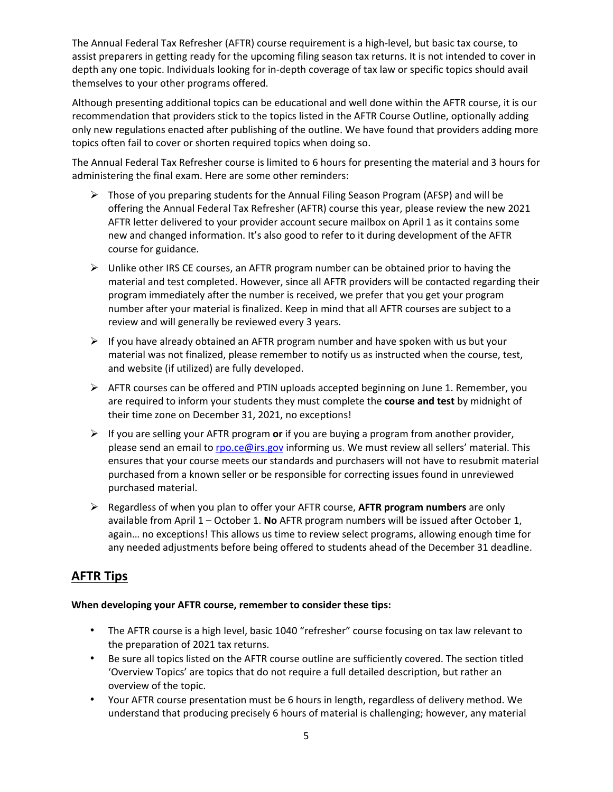The Annual Federal Tax Refresher (AFTR) course requirement is a high-level, but basic tax course, to assist preparers in getting ready for the upcoming filing season tax returns. It is not intended to cover in depth any one topic. Individuals looking for in-depth coverage of tax law or specific topics should avail themselves to your other programs offered.

Although presenting additional topics can be educational and well done within the AFTR course, it is our recommendation that providers stick to the topics listed in the AFTR Course Outline, optionally adding only new regulations enacted after publishing of the outline. We have found that providers adding more topics often fail to cover or shorten required topics when doing so.

The Annual Federal Tax Refresher course is limited to 6 hours for presenting the material and 3 hours for administering the final exam. Here are some other reminders:

- $\triangleright$  Those of you preparing students for the Annual Filing Season Program (AFSP) and will be offering the Annual Federal Tax Refresher (AFTR) course this year, please review the new 2021 AFTR letter delivered to your provider account secure mailbox on April 1 as it contains some new and changed information. It's also good to refer to it during development of the AFTR course for guidance.
- $\triangleright$  Unlike other IRS CE courses, an AFTR program number can be obtained prior to having the material and test completed. However, since all AFTR providers will be contacted regarding their program immediately after the number is received, we prefer that you get your program number after your material is finalized. Keep in mind that all AFTR courses are subject to a review and will generally be reviewed every 3 years.
- $\triangleright$  If you have already obtained an AFTR program number and have spoken with us but your material was not finalized, please remember to notify us as instructed when the course, test, and website (if utilized) are fully developed.
- $\triangleright$  AFTR courses can be offered and PTIN uploads accepted beginning on June 1. Remember, you are required to inform your students they must complete the **course and test** by midnight of their time zone on December 31, 2021, no exceptions!
- If you are selling your AFTR program **or** if you are buying a program from another provider, please send an email t[o rpo.ce@irs.gov](mailto:rpo.ce@irs.gov) informing us. We must review all sellers' material. This ensures that your course meets our standards and purchasers will not have to resubmit material purchased from a known seller or be responsible for correcting issues found in unreviewed purchased material.
- Regardless of when you plan to offer your AFTR course, **AFTR program numbers** are only available from April 1 – October 1. **No** AFTR program numbers will be issued after October 1, again… no exceptions! This allows us time to review select programs, allowing enough time for any needed adjustments before being offered to students ahead of the December 31 deadline.

## **AFTR Tips**

#### **When developing your AFTR course, remember to consider these tips:**

- The AFTR course is a high level, basic 1040 "refresher" course focusing on tax law relevant to the preparation of 2021 tax returns.
- Be sure all topics listed on the AFTR course outline are sufficiently covered. The section titled 'Overview Topics' are topics that do not require a full detailed description, but rather an overview of the topic.
- Your AFTR course presentation must be 6 hours in length, regardless of delivery method. We understand that producing precisely 6 hours of material is challenging; however, any material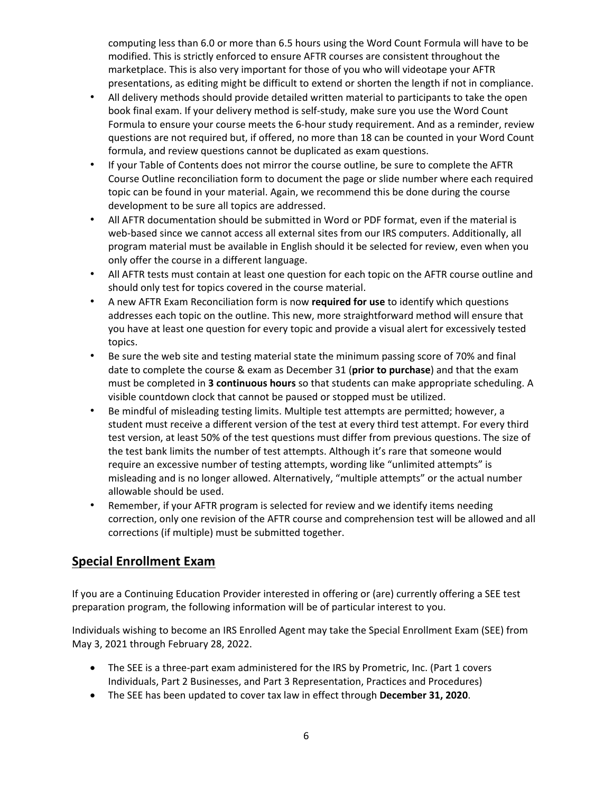computing less than 6.0 or more than 6.5 hours using the Word Count Formula will have to be modified. This is strictly enforced to ensure AFTR courses are consistent throughout the marketplace. This is also very important for those of you who will videotape your AFTR presentations, as editing might be difficult to extend or shorten the length if not in compliance.

- All delivery methods should provide detailed written material to participants to take the open book final exam. If your delivery method is self-study, make sure you use the Word Count Formula to ensure your course meets the 6-hour study requirement. And as a reminder, review questions are not required but, if offered, no more than 18 can be counted in your Word Count formula, and review questions cannot be duplicated as exam questions.
- If your Table of Contents does not mirror the course outline, be sure to complete the AFTR Course Outline reconciliation form to document the page or slide number where each required topic can be found in your material. Again, we recommend this be done during the course development to be sure all topics are addressed.
- All AFTR documentation should be submitted in Word or PDF format, even if the material is web-based since we cannot access all external sites from our IRS computers. Additionally, all program material must be available in English should it be selected for review, even when you only offer the course in a different language.
- All AFTR tests must contain at least one question for each topic on the AFTR course outline and should only test for topics covered in the course material.
- A new AFTR Exam Reconciliation form is now **required for use** to identify which questions addresses each topic on the outline. This new, more straightforward method will ensure that you have at least one question for every topic and provide a visual alert for excessively tested topics.
- Be sure the web site and testing material state the minimum passing score of 70% and final date to complete the course & exam as December 31 (**prior to purchase**) and that the exam must be completed in **3 continuous hours** so that students can make appropriate scheduling. A visible countdown clock that cannot be paused or stopped must be utilized.
- Be mindful of misleading testing limits. Multiple test attempts are permitted; however, a student must receive a different version of the test at every third test attempt. For every third test version, at least 50% of the test questions must differ from previous questions. The size of the test bank limits the number of test attempts. Although it's rare that someone would require an excessive number of testing attempts, wording like "unlimited attempts" is misleading and is no longer allowed. Alternatively, "multiple attempts" or the actual number allowable should be used.
- Remember, if your AFTR program is selected for review and we identify items needing correction, only one revision of the AFTR course and comprehension test will be allowed and all corrections (if multiple) must be submitted together.

## **Special Enrollment Exam**

If you are a Continuing Education Provider interested in offering or (are) currently offering a SEE test preparation program, the following information will be of particular interest to you.

Individuals wishing to become an IRS Enrolled Agent may take the Special Enrollment Exam (SEE) from May 3, 2021 through February 28, 2022.

- The SEE is a three-part exam administered for the IRS by Prometric, Inc. (Part 1 covers Individuals, Part 2 Businesses, and Part 3 Representation, Practices and Procedures)
- The SEE has been updated to cover tax law in effect through **December 31, 2020**.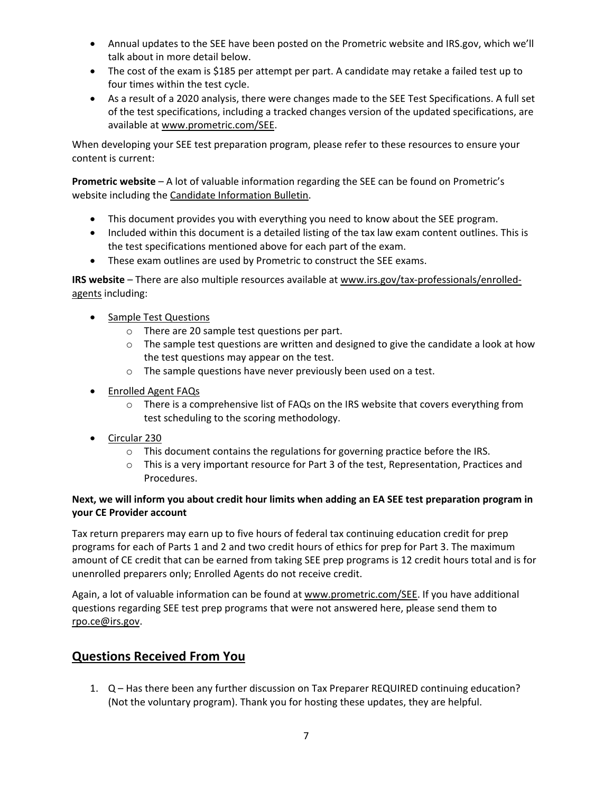- Annual updates to the SEE have been posted on the Prometric website and IRS.gov, which we'll talk about in more detail below.
- The cost of the exam is \$185 per attempt per part. A candidate may retake a failed test up to four times within the test cycle.
- As a result of a 2020 analysis, there were changes made to the SEE Test Specifications. A full set of the test specifications, including a tracked changes version of the updated specifications, are available a[t www.prometric.com/SEE.](http://www.prometric.com/SEE)

When developing your SEE test preparation program, please refer to these resources to ensure your content is current:

**Prometric website** – A lot of valuable information regarding the SEE can be found on Prometric's website including the [Candidate Information Bulletin.](https://www.prometric.com/sites/default/files/IRS/IRS-SEE-Candidate-Information-Bulletin.pdf)

- This document provides you with everything you need to know about the SEE program.
- Included within this document is a detailed listing of the tax law exam content outlines. This is the test specifications mentioned above for each part of the exam.
- These exam outlines are used by Prometric to construct the SEE exams.

**IRS website** – There are also multiple resources available at [www.irs.gov/tax-professionals/enrolled](http://www.irs.gov/tax-professionals/enrolled-agents)[agents](http://www.irs.gov/tax-professionals/enrolled-agents) including:

- Sample Test Questions
	- o There are 20 sample test questions per part.
	- o The sample test questions are written and designed to give the candidate a look at how the test questions may appear on the test.
	- o The sample questions have never previously been used on a test.
- [Enrolled Agent FAQs](https://www.irs.gov/tax-professionals/enrolled-agents/enrolled-agents-frequently-asked-questions)
	- o There is a comprehensive list of FAQs on the IRS website that covers everything from test scheduling to the scoring methodology.
- [Circular 230](https://www.irs.gov/pub/irs-pdf/pcir230.pdf)
	- o This document contains the regulations for governing practice before the IRS.
	- $\circ$  This is a very important resource for Part 3 of the test, Representation, Practices and Procedures.

### **Next, we will inform you about credit hour limits when adding an EA SEE test preparation program in your CE Provider account**

Tax return preparers may earn up to five hours of federal tax continuing education credit for prep programs for each of Parts 1 and 2 and two credit hours of ethics for prep for Part 3. The maximum amount of CE credit that can be earned from taking SEE prep programs is 12 credit hours total and is for unenrolled preparers only; Enrolled Agents do not receive credit.

Again, a lot of valuable information can be found at [www.prometric.com/SEE.](http://www.prometric.com/SEE) If you have additional questions regarding SEE test prep programs that were not answered here, please send them to [rpo.ce@irs.gov.](mailto:rpo.ce@irs.gov)

## **Questions Received From You**

1. Q – Has there been any further discussion on Tax Preparer REQUIRED continuing education? (Not the voluntary program). Thank you for hosting these updates, they are helpful.